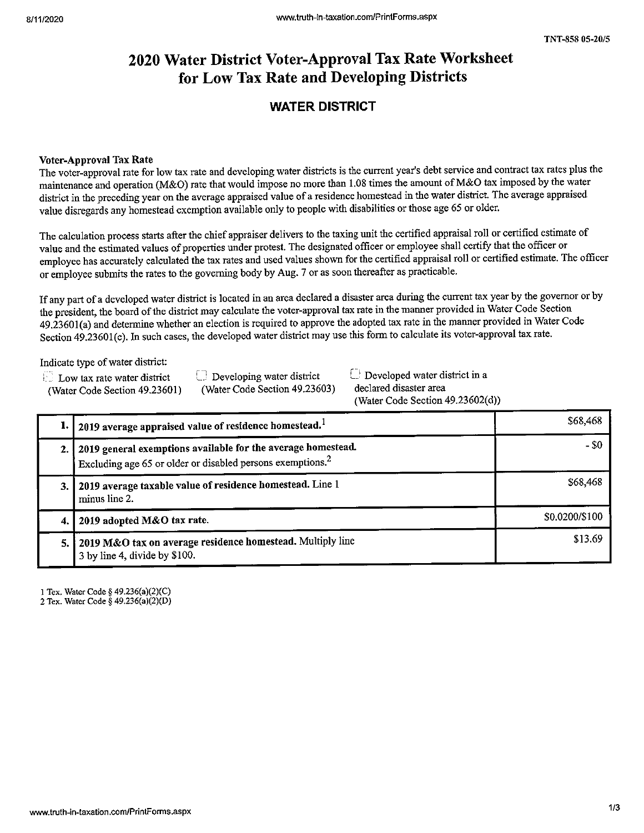# 2020 Water District Voter-Approval Tax Rate Worksheet for Low Tax Rate and Developing Districts

# WATER DISTRICT

### Voter-Approval Tax Rate

The voter-approval rate for low tax rate and developing water districts is the current year's debt service and contract tax rates plus the service and contract tax rates plus the service and contract tax rates plus the sy maintenance and operation (M&O) rate that would impose no more than 1.08 times the amount of M&O tax imposed by the water district in the preceding year on the average appraised value of a residence homestead in the water district. The average appraised value disregards any homestead exemption available only to people with disabilities or those age <sup>65</sup> or older.

The calculation process starts after the chief appraiser delivers to the taxing unit the certified appraisal roll or certified estimate of value and the estimated values of properties under protest. The designated officer or employee shall certify that the officer or employee has accurately calculated the tax rates and used values shown for the certified appraisal roll or certified estimate. The officer or employee submits the rates to the governing body by Aug. <sup>7</sup> or as soon thereafter as practicable.

If any part of <sup>a</sup> developed water district is located in an area declared <sup>a</sup> disaster area during the current tax year by the governor or by the president, the board of the district may calculate the voter-approval tax rate in the manner provided in Water Code Section e president, the board of the district may calculate the voter-approval tax rate in the manner provided in Water Code Section 49.23601(a) and determine whether an election is required to approve the adopted tax rate in the manner provided in water Code Section 49.23601(c). In such cases, the developed water district may use this form to calculate its voter-approval tax rate.

Indicate type of water district:

Low tax rate water district (Water Code

 $\Box$  Developing water district  $\Box$  Developed water district in a (Water Code Section 49.23603) declared disaster area Section 49.23601) (Water Code Section 49.23603) declared disaster area (Water Code Section 49.23602(d))

|     | 1.   2019 average appraised value of residence homestead. $1$                                                                               | \$68,468       |
|-----|---------------------------------------------------------------------------------------------------------------------------------------------|----------------|
|     | 2.   2019 general exemptions available for the average homestead.<br>Excluding age 65 or older or disabled persons exemptions. <sup>2</sup> | - \$0          |
| 3.1 | 2019 average taxable value of residence homestead. Line 1<br>minus line 2.                                                                  | \$68,468       |
|     | 2019 adopted M&O tax rate.                                                                                                                  | \$0.0200/\$100 |
|     | 5. 2019 M&O tax on average residence homestead. Multiply line<br>3 by line 4, divide by \$100.                                              | \$13.69        |

1Tex. Water Code § 49.236(a)(2)(C)

2 Tex. Water Code § 49.236(a)(2)(D)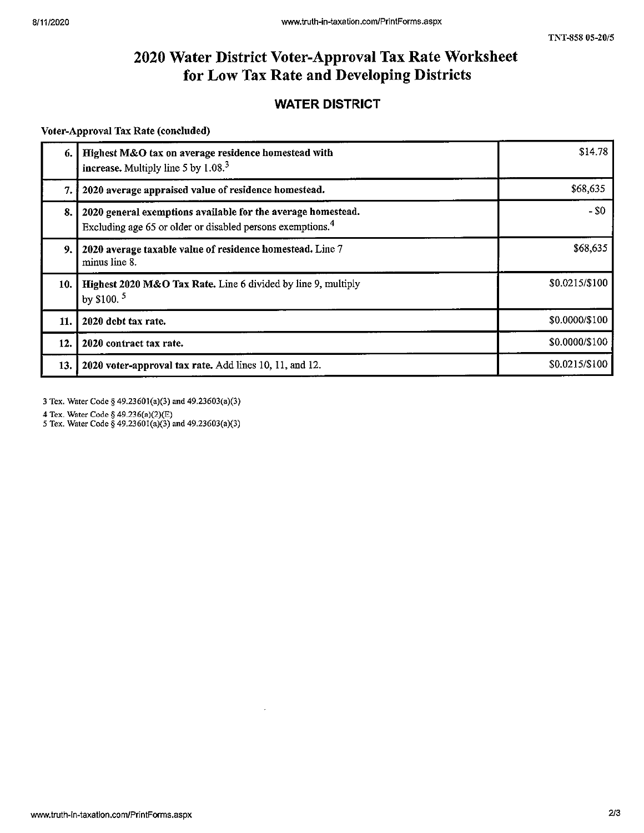## 2020 Water District Voter-Approval Tax Rate Worksheet for Low Tax Rate and Developing Districts

## WATER DISTRICT

#### voter-Approval Tax Rate (concluded)

| 6.  | Highest M&O tax on average residence homestead with<br>increase. Multiply line 5 by $1.083$                                            | \$14.78        |
|-----|----------------------------------------------------------------------------------------------------------------------------------------|----------------|
| 7.  | 2020 average appraised value of residence homestead.                                                                                   | \$68,635       |
| 8.  | 2020 general exemptions available for the average homestead.<br>Excluding age 65 or older or disabled persons exemptions. <sup>4</sup> | $-50$          |
| 9.  | 2020 average taxable value of residence homestead. Line 7<br>minus line 8.                                                             | \$68,635       |
| 10. | Highest 2020 M&O Tax Rate. Line 6 divided by line 9, multiply<br>by \$100. $5$                                                         | \$0.0215/\$100 |
| 11. | 2020 debt tax rate.                                                                                                                    | \$0.0000/\$100 |
| 12. | 2020 contract tax rate.                                                                                                                | \$0.0000/\$100 |
| 13. | 2020 voter-approval tax rate. Add lines 10, 11, and 12.                                                                                | \$0.0215/\$100 |

<sup>3</sup> Tex. Water Code § 49.23601(a)(3) and 49.23603(a)(3)

<sup>4</sup> Tex. Water Code § 49.236(a)(2)(E)

<sup>5</sup> Tex. Water Code § 49,23601(a)(3) and 49.23603(a)(3)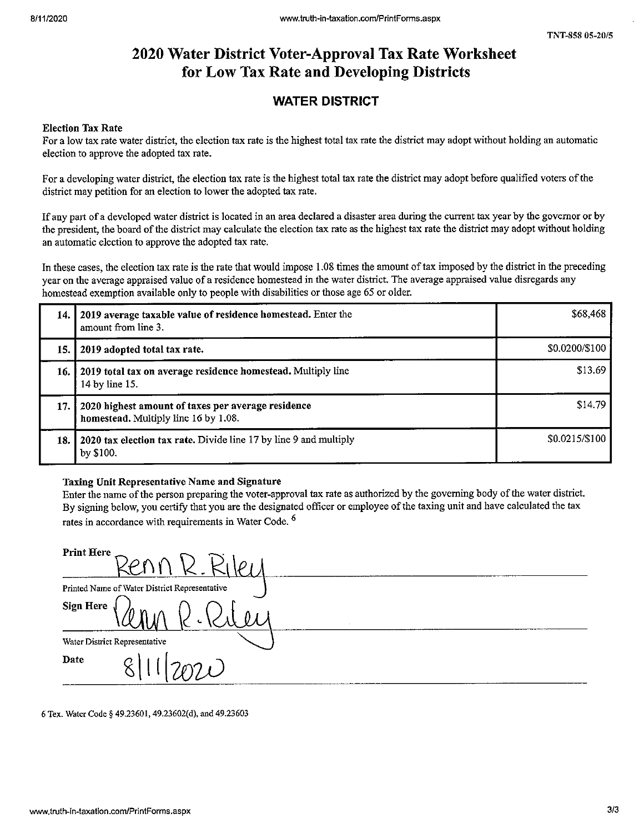# 2020 Water District Voter-Approval Tax Rate Worksheet for Low Tax Rate and Developing Districts

## WATER DISTRICT

### Election Tax Rate

For <sup>a</sup> low tax rate water district, the election tax rate is the highest total tax rate the district may adopt without holding an automatic election to approve the adopted tax rate.

For <sup>a</sup> developing water district, the election tax rate is the highest total tax rate the district may adopt before qualified voters ofthe district may petition for an election to lower the adopted tax rate.

If any part of <sup>a</sup> developed water district is located in an area declared <sup>a</sup> disaster area during the current tax year by the governor or by the president, the board of the district may calculate the election tax rate as the highest tax rate the district may adopt without holding an automatic election to approve the adopted tax rate.

In these cases, the election tax rate is the rate that would impose 1.08 times the amount of tax imposed by the district in the preceding year on the average appraised value of <sup>a</sup> residence homestead in the water district. The average appraised value disregards any homestead exemption available only to people with disabilities or those age <sup>65</sup> or older.

| 14. | 2019 average taxable value of residence homestead. Enter the<br>amount from line 3.        | \$68,468       |
|-----|--------------------------------------------------------------------------------------------|----------------|
| 15. | 2019 adopted total tax rate.                                                               | \$0.0200/\$100 |
| 16. | 2019 total tax on average residence homestead. Multiply line<br>14 by line 15.             | \$13.69        |
| 17. | 2020 highest amount of taxes per average residence<br>homestead. Multiply line 16 by 1.08. | \$14.79        |
| 18. | 2020 tax election tax rate. Divide line 17 by line 9 and multiply<br>by \$100.             | \$0.0215/\$100 |

### Taxing Unit Representative Name and Signature

Enter the name of the person preparing the voter-approval tax rate as authorized by the governing body of the water district. By signing below, you certify that you are the designated officer or employee of the taxing unit and have calculated the tax rates in accordance with requirements in Water Code.<sup>6</sup>

| <b>Print Here</b>                             |
|-----------------------------------------------|
| Printed Name of Water District Representative |
| Sign Here $\bigg\{$                           |
| Water District Representative                 |
| Date<br>$\overline{c}$                        |

6 Tex. Water Code § 49.23601, 49.23602(d), and 49.23603